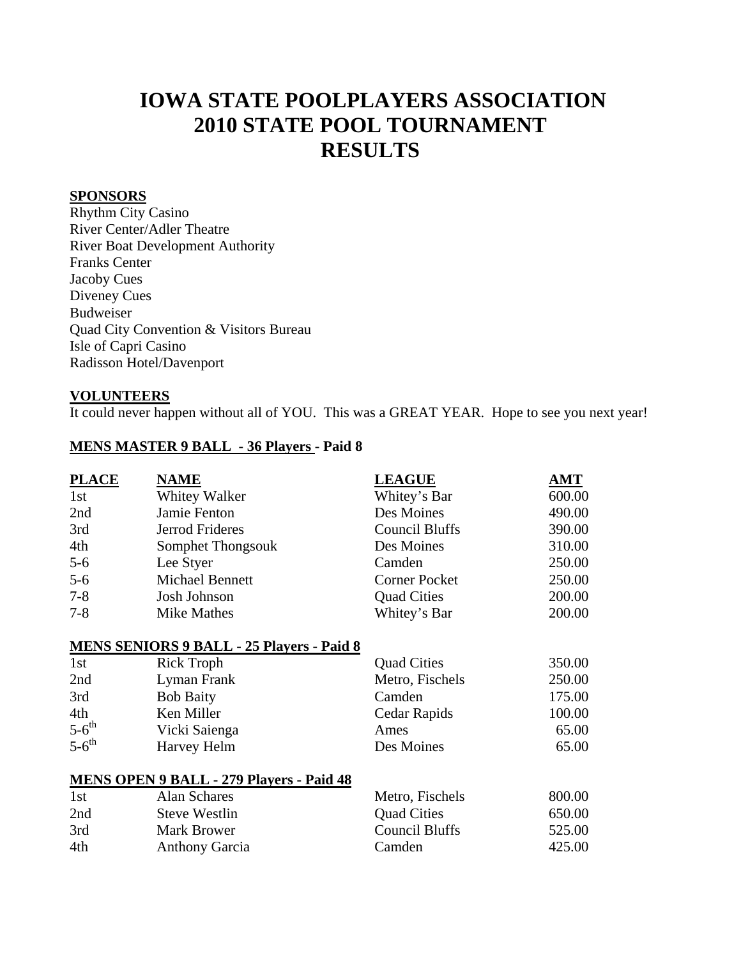# **IOWA STATE POOLPLAYERS ASSOCIATION 2010 STATE POOL TOURNAMENT RESULTS**

# **SPONSORS**

Rhythm City Casino River Center/Adler Theatre River Boat Development Authority Franks Center Jacoby Cues Diveney Cues Budweiser Quad City Convention & Visitors Bureau Isle of Capri Casino Radisson Hotel/Davenport

#### **VOLUNTEERS**

It could never happen without all of YOU. This was a GREAT YEAR. Hope to see you next year!

### **MENS MASTER 9 BALL - 36 Players - Paid 8**

| <b>PLACE</b>        | <b>NAME</b>                                      | <b>LEAGUE</b>         | AMT    |
|---------------------|--------------------------------------------------|-----------------------|--------|
| 1st                 | Whitey Walker                                    | Whitey's Bar          | 600.00 |
| 2nd                 | Jamie Fenton                                     | Des Moines            | 490.00 |
| 3rd                 | Jerrod Frideres                                  | <b>Council Bluffs</b> | 390.00 |
| 4th                 | Somphet Thongsouk                                | Des Moines            | 310.00 |
| $5-6$               | Lee Styer                                        | Camden                | 250.00 |
| $5-6$               | Michael Bennett                                  | <b>Corner Pocket</b>  | 250.00 |
| $7 - 8$             | Josh Johnson                                     | <b>Quad Cities</b>    | 200.00 |
| $7 - 8$             | <b>Mike Mathes</b>                               | Whitey's Bar          | 200.00 |
|                     | <b>MENS SENIORS 9 BALL - 25 Players - Paid 8</b> |                       |        |
| 1st                 | <b>Rick Troph</b>                                | <b>Quad Cities</b>    | 350.00 |
| 2nd                 | Lyman Frank                                      | Metro, Fischels       | 250.00 |
| 3rd                 | <b>Bob Baity</b>                                 | Camden                | 175.00 |
| 4th                 | Ken Miller                                       | Cedar Rapids          | 100.00 |
| $5-6$ <sup>th</sup> | Vicki Saienga                                    | Ames                  | 65.00  |
| $5-6$ <sup>th</sup> | Harvey Helm                                      | Des Moines            | 65.00  |
|                     | <b>MENS OPEN 9 BALL - 279 Players - Paid 48</b>  |                       |        |
| 1st                 | <b>Alan Schares</b>                              | Metro, Fischels       | 800.00 |
| 2nd                 | <b>Steve Westlin</b>                             | <b>Quad Cities</b>    | 650.00 |
| 3rd                 | <b>Mark Brower</b>                               | <b>Council Bluffs</b> | 525.00 |
| 4th                 | <b>Anthony Garcia</b>                            | Camden                | 425.00 |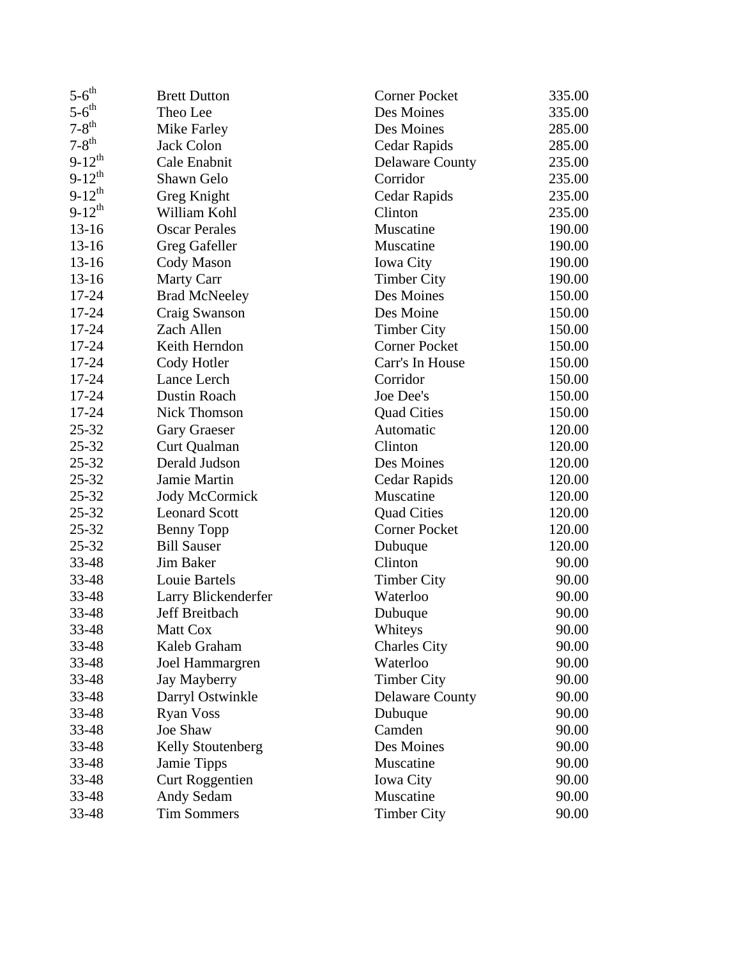| $5-6$ <sup>th</sup> | <b>Brett Dutton</b>    | <b>Corner Pocket</b>   | 335.00 |
|---------------------|------------------------|------------------------|--------|
| $5-6$ <sup>th</sup> | Theo Lee               | Des Moines             | 335.00 |
| $7-8$ <sup>th</sup> | Mike Farley            | Des Moines             | 285.00 |
| $7-8$ <sup>th</sup> | <b>Jack Colon</b>      | Cedar Rapids           | 285.00 |
| $9-12^{th}$         | Cale Enabnit           | <b>Delaware County</b> | 235.00 |
| $9-12^{th}$         | Shawn Gelo             | Corridor               | 235.00 |
| $9-12^{th}$         | Greg Knight            | Cedar Rapids           | 235.00 |
| $9-12^{th}$         | William Kohl           | Clinton                | 235.00 |
| $13-16$             | <b>Oscar Perales</b>   | Muscatine              | 190.00 |
| $13-16$             | Greg Gafeller          | Muscatine              | 190.00 |
| $13-16$             | Cody Mason             | <b>Iowa City</b>       | 190.00 |
| $13-16$             | Marty Carr             | <b>Timber City</b>     | 190.00 |
| 17-24               | <b>Brad McNeeley</b>   | Des Moines             | 150.00 |
| 17-24               | Craig Swanson          | Des Moine              | 150.00 |
| 17-24               | Zach Allen             | <b>Timber City</b>     | 150.00 |
| 17-24               | Keith Herndon          | <b>Corner Pocket</b>   | 150.00 |
| 17-24               | Cody Hotler            | Carr's In House        | 150.00 |
| 17-24               | Lance Lerch            | Corridor               | 150.00 |
| 17-24               | Dustin Roach           | Joe Dee's              | 150.00 |
| 17-24               | <b>Nick Thomson</b>    | <b>Quad Cities</b>     | 150.00 |
| $25 - 32$           | Gary Graeser           | Automatic              | 120.00 |
| $25 - 32$           | Curt Qualman           | Clinton                | 120.00 |
| $25 - 32$           | Derald Judson          | Des Moines             | 120.00 |
| 25-32               | Jamie Martin           | Cedar Rapids           | 120.00 |
| $25 - 32$           | <b>Jody McCormick</b>  | Muscatine              | 120.00 |
| $25 - 32$           | <b>Leonard Scott</b>   | <b>Quad Cities</b>     | 120.00 |
| $25 - 32$           | <b>Benny Topp</b>      | <b>Corner Pocket</b>   | 120.00 |
| $25 - 32$           | <b>Bill Sauser</b>     | Dubuque                | 120.00 |
| 33-48               | Jim Baker              | Clinton                | 90.00  |
| 33-48               | Louie Bartels          | <b>Timber City</b>     | 90.00  |
| 33-48               | Larry Blickenderfer    | Waterloo               | 90.00  |
| 33-48               | Jeff Breitbach         | Dubuque                | 90.00  |
| 33-48               | Matt Cox               | Whiteys                | 90.00  |
| 33-48               | Kaleb Graham           | <b>Charles City</b>    | 90.00  |
| 33-48               | Joel Hammargren        | Waterloo               | 90.00  |
| 33-48               | Jay Mayberry           | <b>Timber City</b>     | 90.00  |
| 33-48               | Darryl Ostwinkle       | <b>Delaware County</b> | 90.00  |
| 33-48               | <b>Ryan Voss</b>       | Dubuque                | 90.00  |
| 33-48               | Joe Shaw               | Camden                 | 90.00  |
| 33-48               | Kelly Stoutenberg      | Des Moines             | 90.00  |
| 33-48               | Jamie Tipps            | Muscatine              | 90.00  |
| 33-48               | <b>Curt Roggentien</b> | <b>Iowa City</b>       | 90.00  |
| 33-48               | Andy Sedam             | Muscatine              | 90.00  |
| 33-48               | <b>Tim Sommers</b>     | <b>Timber City</b>     | 90.00  |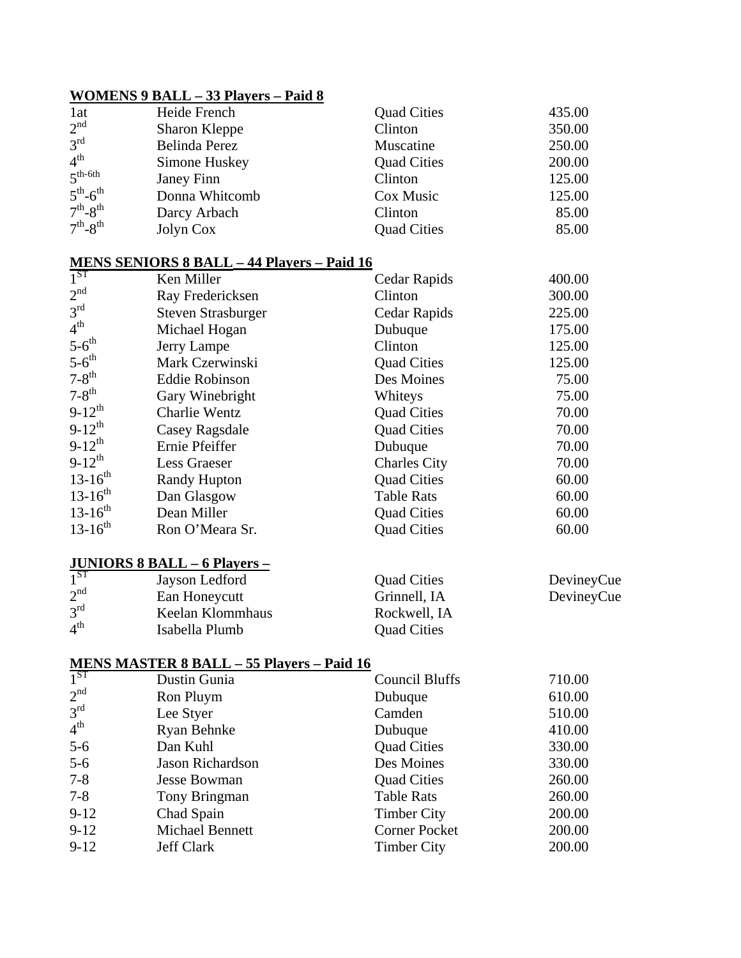### **WOMENS 9 BALL – 33 Players – Paid 8**

| 1at               | Heide French   | <b>Quad Cities</b> | 435.00 |
|-------------------|----------------|--------------------|--------|
| 2 <sup>nd</sup>   | Sharon Kleppe  | Clinton            | 350.00 |
| 3 <sup>rd</sup>   | Belinda Perez  | Muscatine          | 250.00 |
| 4 <sup>th</sup>   | Simone Huskey  | <b>Quad Cities</b> | 200.00 |
| $5^{th-6th}$      | Janey Finn     | Clinton            | 125.00 |
| $5th - 6th$       | Donna Whitcomb | Cox Music          | 125.00 |
| $7th-8th$         | Darcy Arbach   | Clinton            | 85.00  |
| $7^{th} - 8^{th}$ | Jolyn Cox      | <b>Quad Cities</b> | 85.00  |

### **MENS SENIORS 8 BALL – 44 Players – Paid 16**

| $1^{ST}$            | Ken Miller                | Cedar Rapids        | 400.00 |
|---------------------|---------------------------|---------------------|--------|
| 2 <sup>nd</sup>     | Ray Fredericksen          | Clinton             | 300.00 |
| 3 <sup>rd</sup>     | <b>Steven Strasburger</b> | Cedar Rapids        | 225.00 |
| 4 <sup>th</sup>     | Michael Hogan             | Dubuque             | 175.00 |
| $5-6$ <sup>th</sup> | Jerry Lampe               | Clinton             | 125.00 |
| $5-6$ <sup>th</sup> | Mark Czerwinski           | <b>Quad Cities</b>  | 125.00 |
| $7-8$ <sup>th</sup> | <b>Eddie Robinson</b>     | Des Moines          | 75.00  |
| $7-8$ <sup>th</sup> | Gary Winebright           | Whiteys             | 75.00  |
| $9-12^{th}$         | <b>Charlie Wentz</b>      | <b>Quad Cities</b>  | 70.00  |
| $9-12^{th}$         | Casey Ragsdale            | <b>Quad Cities</b>  | 70.00  |
| $9-12^{th}$         | Ernie Pfeiffer            | Dubuque             | 70.00  |
| $9-12^{th}$         | Less Graeser              | <b>Charles City</b> | 70.00  |
| $13-16^{th}$        | <b>Randy Hupton</b>       | <b>Quad Cities</b>  | 60.00  |
| $13-16^{th}$        | Dan Glasgow               | <b>Table Rats</b>   | 60.00  |
| $13-16^{th}$        | Dean Miller               | <b>Quad Cities</b>  | 60.00  |
| $13-16^{th}$        | Ron O'Meara Sr.           | <b>Quad Cities</b>  | 60.00  |

# **JUNIORS 8 BALL – 6 Players –**

| 1 <sup>ST</sup> | Jayson Ledford   | <b>Quad Cities</b> | DevineyCue |
|-----------------|------------------|--------------------|------------|
| 2 <sup>nd</sup> | Ean Honeycutt    | Grinnell, IA       | DevineyCue |
| $3^{\text{rd}}$ | Keelan Klommhaus | Rockwell, IA       |            |
| $4^{\text{th}}$ | Isabella Plumb   | <b>Quad Cities</b> |            |

### **MENS MASTER 8 BALL – 55 Players – Paid 16**

| $1^{ST}$        | Dustin Gunia            | <b>Council Bluffs</b> | 710.00 |
|-----------------|-------------------------|-----------------------|--------|
| 2 <sup>nd</sup> | Ron Pluym               | Dubuque               | 610.00 |
| $3^{\text{rd}}$ | Lee Styer               | Camden                | 510.00 |
| $4^{\text{th}}$ | Ryan Behnke             | Dubuque               | 410.00 |
| $5-6$           | Dan Kuhl                | <b>Quad Cities</b>    | 330.00 |
| $5-6$           | <b>Jason Richardson</b> | Des Moines            | 330.00 |
| $7 - 8$         | <b>Jesse Bowman</b>     | <b>Quad Cities</b>    | 260.00 |
| $7 - 8$         | Tony Bringman           | <b>Table Rats</b>     | 260.00 |
| $9 - 12$        | Chad Spain              | <b>Timber City</b>    | 200.00 |
| $9 - 12$        | Michael Bennett         | <b>Corner Pocket</b>  | 200.00 |
| $9-12$          | <b>Jeff Clark</b>       | <b>Timber City</b>    | 200.00 |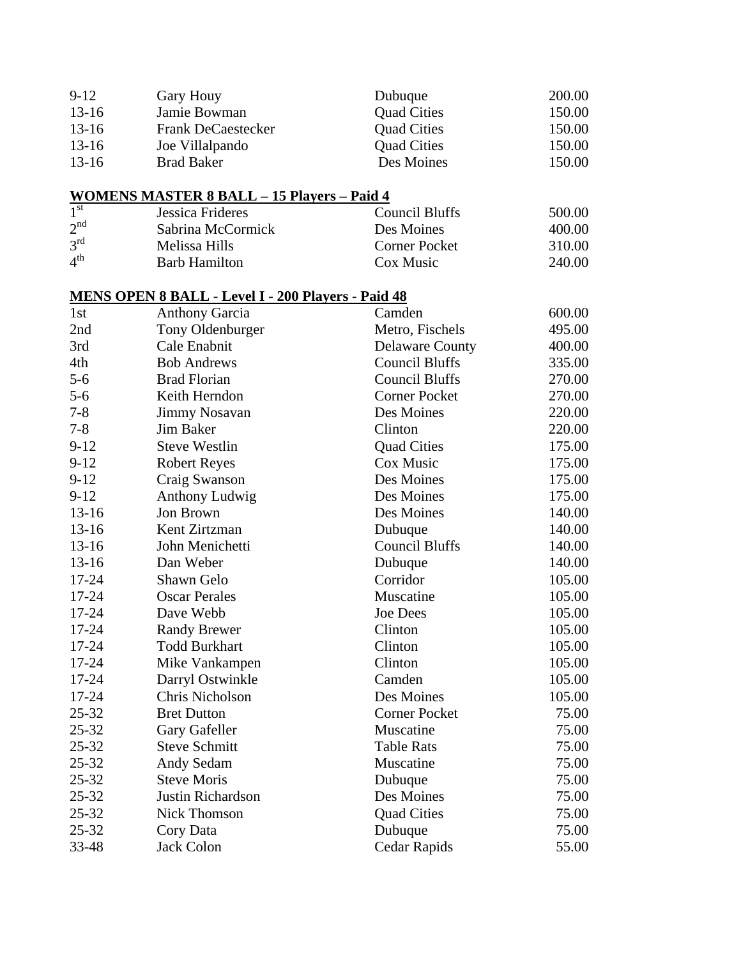| $9-12$  | <b>Gary Houy</b>          | Dubuque            | 200.00 |
|---------|---------------------------|--------------------|--------|
| $13-16$ | Jamie Bowman              | <b>Quad Cities</b> | 150.00 |
| $13-16$ | <b>Frank DeCaestecker</b> | <b>Quad Cities</b> | 150.00 |
| $13-16$ | Joe Villalpando           | <b>Quad Cities</b> | 150.00 |
| $13-16$ | <b>Brad Baker</b>         | Des Moines         | 150.00 |

# **WOMENS MASTER 8 BALL – 15 Players – Paid 4**

| 1 <sup>st</sup> | Jessica Frideres     | <b>Council Bluffs</b> | 500.00 |
|-----------------|----------------------|-----------------------|--------|
| 2 <sup>nd</sup> | Sabrina McCormick    | Des Moines            | 400.00 |
| 3 <sup>rd</sup> | Melissa Hills        | <b>Corner Pocket</b>  | 310.00 |
| 4 <sup>th</sup> | <b>Barb Hamilton</b> | Cox Music             | 240.00 |

# **MENS OPEN 8 BALL - Level I - 200 Players - Paid 48**

| 1st       | <b>Anthony Garcia</b> | Camden                 | 600.00 |
|-----------|-----------------------|------------------------|--------|
| 2nd       | Tony Oldenburger      | Metro, Fischels        | 495.00 |
| 3rd       | Cale Enabnit          | <b>Delaware County</b> | 400.00 |
| 4th       | <b>Bob Andrews</b>    | <b>Council Bluffs</b>  | 335.00 |
| $5 - 6$   | <b>Brad Florian</b>   | <b>Council Bluffs</b>  | 270.00 |
| $5 - 6$   | Keith Herndon         | <b>Corner Pocket</b>   | 270.00 |
| $7 - 8$   | <b>Jimmy Nosavan</b>  | Des Moines             | 220.00 |
| $7 - 8$   | <b>Jim Baker</b>      | Clinton                | 220.00 |
| $9 - 12$  | <b>Steve Westlin</b>  | <b>Quad Cities</b>     | 175.00 |
| $9 - 12$  | <b>Robert Reyes</b>   | Cox Music              | 175.00 |
| $9-12$    | Craig Swanson         | Des Moines             | 175.00 |
| $9 - 12$  | Anthony Ludwig        | Des Moines             | 175.00 |
| $13 - 16$ | Jon Brown             | Des Moines             | 140.00 |
| $13 - 16$ | Kent Zirtzman         | Dubuque                | 140.00 |
| $13 - 16$ | John Menichetti       | <b>Council Bluffs</b>  | 140.00 |
| $13 - 16$ | Dan Weber             | Dubuque                | 140.00 |
| 17-24     | Shawn Gelo            | Corridor               | 105.00 |
| 17-24     | <b>Oscar Perales</b>  | Muscatine              | 105.00 |
| 17-24     | Dave Webb             | <b>Joe Dees</b>        | 105.00 |
| 17-24     | <b>Randy Brewer</b>   | Clinton                | 105.00 |
| 17-24     | <b>Todd Burkhart</b>  | Clinton                | 105.00 |
| 17-24     | Mike Vankampen        | Clinton                | 105.00 |
| 17-24     | Darryl Ostwinkle      | Camden                 | 105.00 |
| 17-24     | Chris Nicholson       | Des Moines             | 105.00 |
| $25 - 32$ | <b>Bret Dutton</b>    | <b>Corner Pocket</b>   | 75.00  |
| $25 - 32$ | Gary Gafeller         | Muscatine              | 75.00  |
| $25 - 32$ | <b>Steve Schmitt</b>  | <b>Table Rats</b>      | 75.00  |
| $25 - 32$ | Andy Sedam            | Muscatine              | 75.00  |
| 25-32     | <b>Steve Moris</b>    | Dubuque                | 75.00  |
| 25-32     | Justin Richardson     | Des Moines             | 75.00  |
| $25 - 32$ | <b>Nick Thomson</b>   | <b>Quad Cities</b>     | 75.00  |
| 25-32     | Cory Data             | Dubuque                | 75.00  |
| 33-48     | <b>Jack Colon</b>     | Cedar Rapids           | 55.00  |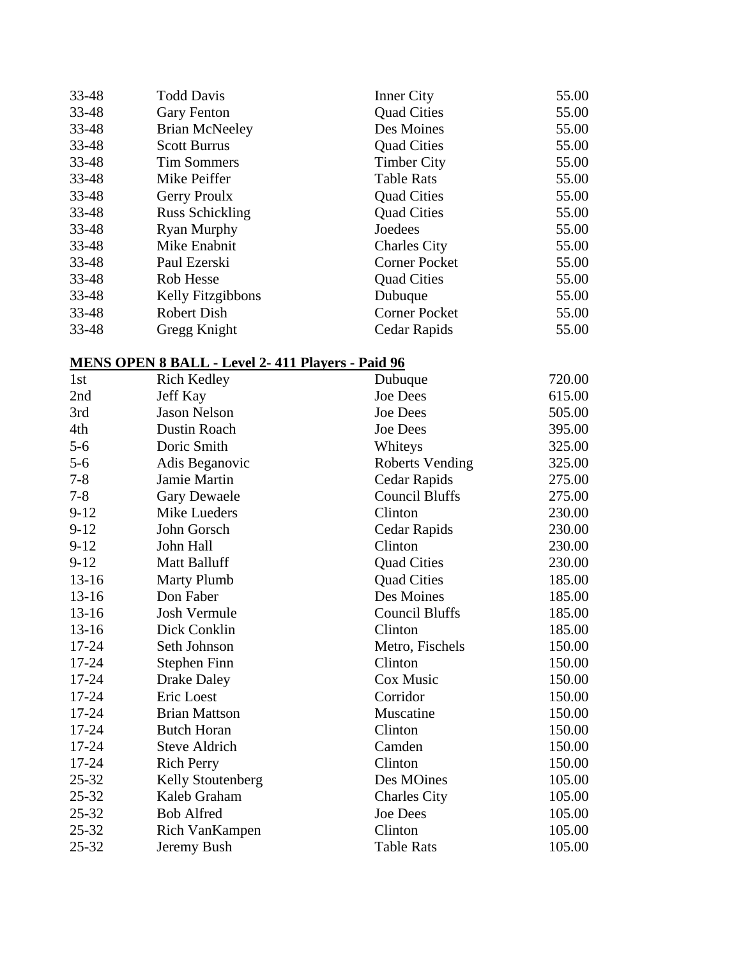| 33-48 | <b>Todd Davis</b>      | <b>Inner City</b>    | 55.00 |
|-------|------------------------|----------------------|-------|
| 33-48 | <b>Gary Fenton</b>     | <b>Quad Cities</b>   | 55.00 |
| 33-48 | <b>Brian McNeeley</b>  | Des Moines           | 55.00 |
| 33-48 | <b>Scott Burrus</b>    | <b>Quad Cities</b>   | 55.00 |
| 33-48 | <b>Tim Sommers</b>     | <b>Timber City</b>   | 55.00 |
| 33-48 | Mike Peiffer           | <b>Table Rats</b>    | 55.00 |
| 33-48 | <b>Gerry Proulx</b>    | <b>Quad Cities</b>   | 55.00 |
| 33-48 | <b>Russ Schickling</b> | <b>Quad Cities</b>   | 55.00 |
| 33-48 | Ryan Murphy            | Joedees              | 55.00 |
| 33-48 | Mike Enabnit           | <b>Charles City</b>  | 55.00 |
| 33-48 | Paul Ezerski           | <b>Corner Pocket</b> | 55.00 |
| 33-48 | Rob Hesse              | <b>Quad Cities</b>   | 55.00 |
| 33-48 | Kelly Fitzgibbons      | Dubuque              | 55.00 |
| 33-48 | <b>Robert Dish</b>     | <b>Corner Pocket</b> | 55.00 |
| 33-48 | Gregg Knight           | Cedar Rapids         | 55.00 |

#### **MENS OPEN 8 BALL - Level 2- 411 Players - Paid 96**

| 1st       | <b>Rich Kedley</b>   | Dubuque                | 720.00 |
|-----------|----------------------|------------------------|--------|
| 2nd       | Jeff Kay             | <b>Joe Dees</b>        | 615.00 |
| 3rd       | <b>Jason Nelson</b>  | <b>Joe Dees</b>        | 505.00 |
| 4th       | <b>Dustin Roach</b>  | <b>Joe Dees</b>        | 395.00 |
| $5 - 6$   | Doric Smith          | Whiteys                | 325.00 |
| $5 - 6$   | Adis Beganovic       | <b>Roberts Vending</b> | 325.00 |
| $7 - 8$   | <b>Jamie Martin</b>  | Cedar Rapids           | 275.00 |
| $7 - 8$   | <b>Gary Dewaele</b>  | <b>Council Bluffs</b>  | 275.00 |
| $9 - 12$  | Mike Lueders         | Clinton                | 230.00 |
| $9 - 12$  | John Gorsch          | Cedar Rapids           | 230.00 |
| $9-12$    | John Hall            | Clinton                | 230.00 |
| $9-12$    | <b>Matt Balluff</b>  | <b>Quad Cities</b>     | 230.00 |
| $13 - 16$ | <b>Marty Plumb</b>   | <b>Quad Cities</b>     | 185.00 |
| $13 - 16$ | Don Faber            | Des Moines             | 185.00 |
| $13-16$   | <b>Josh Vermule</b>  | <b>Council Bluffs</b>  | 185.00 |
| $13-16$   | Dick Conklin         | Clinton                | 185.00 |
| 17-24     | Seth Johnson         | Metro, Fischels        | 150.00 |
| 17-24     | Stephen Finn         | Clinton                | 150.00 |
| $17 - 24$ | <b>Drake Daley</b>   | Cox Music              | 150.00 |
| $17 - 24$ | Eric Loest           | Corridor               | 150.00 |
| 17-24     | <b>Brian Mattson</b> | Muscatine              | 150.00 |
| 17-24     | <b>Butch Horan</b>   | Clinton                | 150.00 |
| 17-24     | <b>Steve Aldrich</b> | Camden                 | 150.00 |
| 17-24     | <b>Rich Perry</b>    | Clinton                | 150.00 |
| $25 - 32$ | Kelly Stoutenberg    | Des MOines             | 105.00 |
| $25 - 32$ | Kaleb Graham         | <b>Charles City</b>    | 105.00 |
| $25 - 32$ | <b>Bob Alfred</b>    | <b>Joe Dees</b>        | 105.00 |
| $25 - 32$ | Rich VanKampen       | Clinton                | 105.00 |
| $25 - 32$ | Jeremy Bush          | <b>Table Rats</b>      | 105.00 |
|           |                      |                        |        |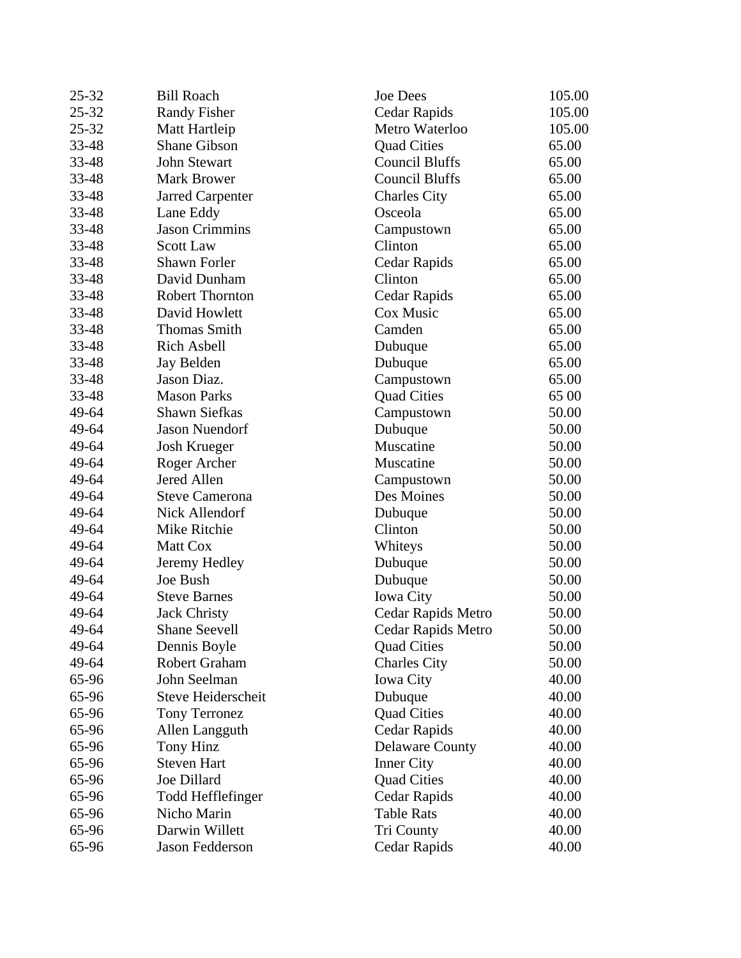| $25 - 32$ | <b>Bill Roach</b>       | Joe Dees               | 105.00 |
|-----------|-------------------------|------------------------|--------|
| $25 - 32$ | <b>Randy Fisher</b>     | Cedar Rapids           | 105.00 |
| $25 - 32$ | Matt Hartleip           | Metro Waterloo         | 105.00 |
| 33-48     | <b>Shane Gibson</b>     | <b>Quad Cities</b>     | 65.00  |
| 33-48     | <b>John Stewart</b>     | <b>Council Bluffs</b>  | 65.00  |
| 33-48     | <b>Mark Brower</b>      | <b>Council Bluffs</b>  | 65.00  |
| 33-48     | <b>Jarred Carpenter</b> | <b>Charles City</b>    | 65.00  |
| 33-48     | Lane Eddy               | Osceola                | 65.00  |
| 33-48     | <b>Jason Crimmins</b>   | Campustown             | 65.00  |
| 33-48     | <b>Scott Law</b>        | Clinton                | 65.00  |
| 33-48     | Shawn Forler            | Cedar Rapids           | 65.00  |
| 33-48     | David Dunham            | Clinton                | 65.00  |
| 33-48     | <b>Robert Thornton</b>  | Cedar Rapids           | 65.00  |
| 33-48     | David Howlett           | Cox Music              | 65.00  |
| 33-48     | <b>Thomas Smith</b>     | Camden                 | 65.00  |
| 33-48     | <b>Rich Asbell</b>      | Dubuque                | 65.00  |
| 33-48     | Jay Belden              | Dubuque                | 65.00  |
| 33-48     | Jason Diaz.             | Campustown             | 65.00  |
| 33-48     | <b>Mason Parks</b>      | <b>Quad Cities</b>     | 65 00  |
| 49-64     | <b>Shawn Siefkas</b>    | Campustown             | 50.00  |
| 49-64     | <b>Jason Nuendorf</b>   | Dubuque                | 50.00  |
| 49-64     | <b>Josh Krueger</b>     | Muscatine              | 50.00  |
| 49-64     | Roger Archer            | Muscatine              | 50.00  |
| 49-64     | Jered Allen             | Campustown             | 50.00  |
| 49-64     | <b>Steve Camerona</b>   | Des Moines             | 50.00  |
| 49-64     | Nick Allendorf          | Dubuque                | 50.00  |
| 49-64     | Mike Ritchie            | Clinton                | 50.00  |
| 49-64     | Matt Cox                | Whiteys                | 50.00  |
| 49-64     | Jeremy Hedley           | Dubuque                | 50.00  |
| 49-64     | Joe Bush                | Dubuque                | 50.00  |
| 49-64     | <b>Steve Barnes</b>     | Iowa City              | 50.00  |
| 49-64     | <b>Jack Christy</b>     | Cedar Rapids Metro     | 50.00  |
| 49-64     | <b>Shane Seevell</b>    | Cedar Rapids Metro     | 50.00  |
| 49-64     | Dennis Boyle            | <b>Quad Cities</b>     | 50.00  |
| 49-64     | Robert Graham           | <b>Charles City</b>    | 50.00  |
| 65-96     | John Seelman            | <b>Iowa City</b>       | 40.00  |
| 65-96     | Steve Heiderscheit      | Dubuque                | 40.00  |
| 65-96     | <b>Tony Terronez</b>    | <b>Quad Cities</b>     | 40.00  |
| 65-96     | Allen Langguth          | Cedar Rapids           | 40.00  |
| 65-96     | Tony Hinz               | <b>Delaware County</b> | 40.00  |
| 65-96     | <b>Steven Hart</b>      | <b>Inner City</b>      | 40.00  |
| 65-96     | Joe Dillard             | <b>Quad Cities</b>     | 40.00  |
| 65-96     | Todd Hefflefinger       | Cedar Rapids           | 40.00  |
| 65-96     | Nicho Marin             | <b>Table Rats</b>      | 40.00  |
| 65-96     | Darwin Willett          | <b>Tri County</b>      | 40.00  |
| 65-96     | Jason Fedderson         | Cedar Rapids           | 40.00  |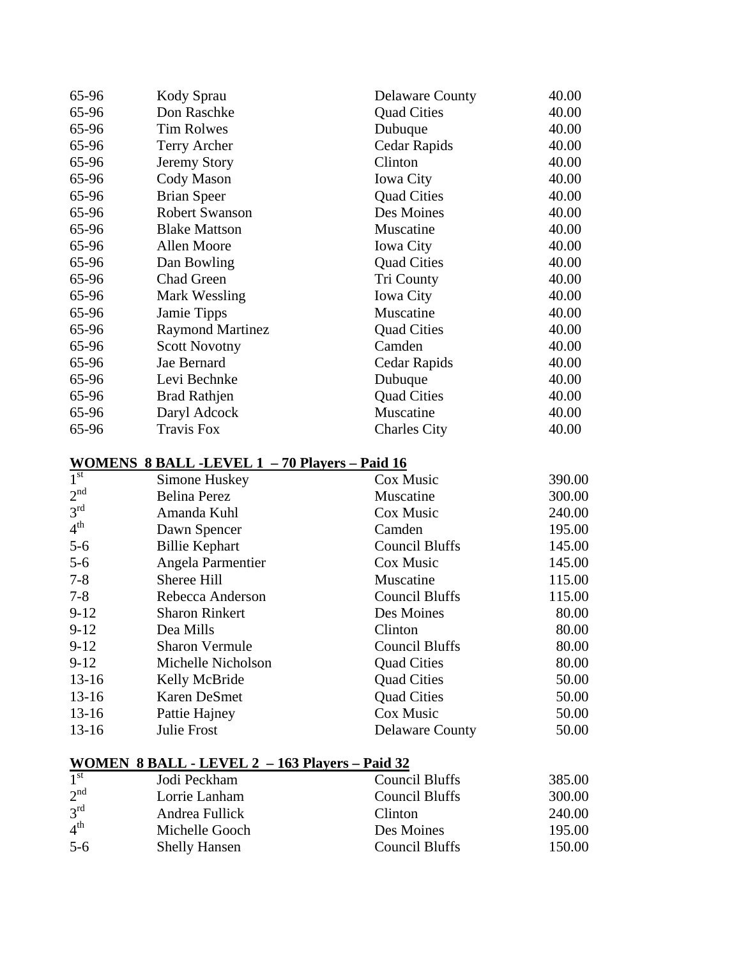| 65-96           | Kody Sprau                                          | <b>Delaware County</b> | 40.00  |
|-----------------|-----------------------------------------------------|------------------------|--------|
| 65-96           | Don Raschke                                         | <b>Quad Cities</b>     | 40.00  |
| 65-96           | <b>Tim Rolwes</b>                                   | Dubuque                | 40.00  |
| 65-96           | Terry Archer                                        | Cedar Rapids           | 40.00  |
| 65-96           | <b>Jeremy Story</b>                                 | Clinton                | 40.00  |
| 65-96           | Cody Mason                                          | <b>Iowa City</b>       | 40.00  |
| 65-96           | <b>Brian Speer</b>                                  | <b>Quad Cities</b>     | 40.00  |
| 65-96           | Robert Swanson                                      | Des Moines             | 40.00  |
| 65-96           | <b>Blake Mattson</b>                                | Muscatine              | 40.00  |
| 65-96           | Allen Moore                                         | <b>Iowa City</b>       | 40.00  |
| 65-96           | Dan Bowling                                         | <b>Quad Cities</b>     | 40.00  |
| 65-96           | <b>Chad Green</b>                                   | <b>Tri County</b>      | 40.00  |
| 65-96           | Mark Wessling                                       | <b>Iowa City</b>       | 40.00  |
| 65-96           | Jamie Tipps                                         | Muscatine              | 40.00  |
| 65-96           | <b>Raymond Martinez</b>                             | <b>Quad Cities</b>     | 40.00  |
| 65-96           | <b>Scott Novotny</b>                                | Camden                 | 40.00  |
| 65-96           | Jae Bernard                                         | Cedar Rapids           | 40.00  |
| 65-96           | Levi Bechnke                                        | Dubuque                | 40.00  |
| 65-96           | <b>Brad Rathjen</b>                                 | <b>Quad Cities</b>     | 40.00  |
| 65-96           | Daryl Adcock                                        | Muscatine              | 40.00  |
| 65-96           | <b>Travis Fox</b>                                   | <b>Charles City</b>    | 40.00  |
|                 |                                                     |                        |        |
|                 | <u>WOMENS 8 BALL-LEVEL 1 - 70 Players – Paid 16</u> |                        |        |
| 1 <sup>st</sup> | Simone Huskey                                       | Cox Music              | 390.00 |
| 2 <sup>nd</sup> | <b>Belina Perez</b>                                 | Muscatine              | 300.00 |
| 3 <sup>rd</sup> | Amanda Kuhl                                         | Cox Music              | 240.00 |
| 4 <sup>th</sup> | Dawn Spencer                                        | Camden                 | 195.00 |
| $5-6$           | <b>Billie Kephart</b>                               | <b>Council Bluffs</b>  | 145.00 |
| $5 - 6$         | Angela Parmentier                                   | Cox Music              | 145.00 |
| $7 - 8$         | Sheree Hill                                         | Muscatine              | 115.00 |
| $7 - 8$         | Rebecca Anderson                                    | <b>Council Bluffs</b>  | 115.00 |
| $9 - 12$        | <b>Sharon Rinkert</b>                               | Des Moines             | 80.00  |
| $9-12$          | Dea Mills                                           | Clinton                | 80.00  |
| $9-12$          | <b>Sharon Vermule</b>                               | Council Bluffs         | 80.00  |
| $9-12$          | Michelle Nicholson                                  | <b>Quad Cities</b>     | 80.00  |
| $13-16$         | Kelly McBride                                       | <b>Quad Cities</b>     | 50.00  |
| $13-16$         | <b>Karen DeSmet</b>                                 | <b>Quad Cities</b>     | 50.00  |
| $13-16$         | Pattie Hajney                                       | Cox Music              | 50.00  |
| $13 - 16$       | Julie Frost                                         | <b>Delaware County</b> | 50.00  |
|                 |                                                     |                        |        |

# **WOMEN 8 BALL - LEVEL 2 – 163 Players – Paid 32**

| $\overline{1}^{\text{st}}$ | Jodi Peckham         | Council Bluffs | 385.00 |
|----------------------------|----------------------|----------------|--------|
| 2 <sup>nd</sup>            | Lorrie Lanham        | Council Bluffs | 300.00 |
| $3^{\text{rd}}$            | Andrea Fullick       | <b>Clinton</b> | 240.00 |
| 4 <sup>th</sup>            | Michelle Gooch       | Des Moines     | 195.00 |
| $5-6$                      | <b>Shelly Hansen</b> | Council Bluffs | 150.00 |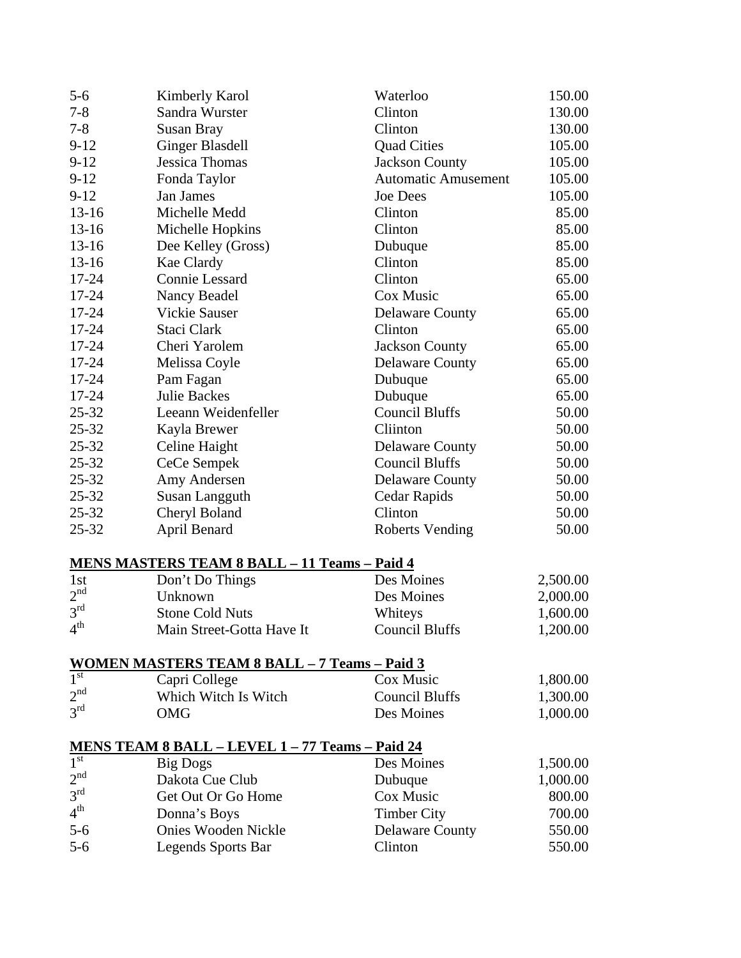| $5 - 6$         | Kimberly Karol                                                                                                | Waterloo                   | 150.00   |
|-----------------|---------------------------------------------------------------------------------------------------------------|----------------------------|----------|
| $7 - 8$         | Sandra Wurster                                                                                                | Clinton                    | 130.00   |
| $7 - 8$         | <b>Susan Bray</b>                                                                                             | Clinton                    | 130.00   |
| $9-12$          | <b>Ginger Blasdell</b>                                                                                        | <b>Quad Cities</b>         | 105.00   |
| $9-12$          | <b>Jessica Thomas</b>                                                                                         | <b>Jackson County</b>      | 105.00   |
| $9 - 12$        | Fonda Taylor                                                                                                  | <b>Automatic Amusement</b> | 105.00   |
| $9 - 12$        | Jan James                                                                                                     | <b>Joe Dees</b>            | 105.00   |
| $13 - 16$       | Michelle Medd                                                                                                 | Clinton                    | 85.00    |
| $13 - 16$       | Michelle Hopkins                                                                                              | Clinton                    | 85.00    |
| $13 - 16$       | Dee Kelley (Gross)                                                                                            | Dubuque                    | 85.00    |
| $13-16$         | Kae Clardy                                                                                                    | Clinton                    | 85.00    |
| 17-24           | <b>Connie Lessard</b>                                                                                         | Clinton                    | 65.00    |
| $17 - 24$       | Nancy Beadel                                                                                                  | Cox Music                  | 65.00    |
| 17-24           | <b>Vickie Sauser</b>                                                                                          | <b>Delaware County</b>     | 65.00    |
| $17 - 24$       | Staci Clark                                                                                                   | Clinton                    | 65.00    |
| $17 - 24$       | Cheri Yarolem                                                                                                 | <b>Jackson County</b>      | 65.00    |
| 17-24           | Melissa Coyle                                                                                                 | <b>Delaware County</b>     | 65.00    |
| $17 - 24$       | Pam Fagan                                                                                                     | Dubuque                    | 65.00    |
| 17-24           | <b>Julie Backes</b>                                                                                           | Dubuque                    | 65.00    |
| $25 - 32$       | Leeann Weidenfeller                                                                                           | <b>Council Bluffs</b>      | 50.00    |
| $25 - 32$       | Kayla Brewer                                                                                                  | Cliinton                   | 50.00    |
| $25 - 32$       | Celine Haight                                                                                                 | <b>Delaware County</b>     | 50.00    |
| $25 - 32$       | CeCe Sempek                                                                                                   | <b>Council Bluffs</b>      | 50.00    |
| $25 - 32$       | Amy Andersen                                                                                                  | <b>Delaware County</b>     | 50.00    |
| $25 - 32$       | Susan Langguth                                                                                                | Cedar Rapids               | 50.00    |
| $25 - 32$       | Cheryl Boland                                                                                                 | Clinton                    | 50.00    |
| 25-32           | April Benard                                                                                                  | <b>Roberts Vending</b>     | 50.00    |
|                 | <u>MENS MASTERS TEAM 8 BALL - 11 Teams - Paid 4</u>                                                           |                            |          |
| 1st             | Don't Do Things                                                                                               | Des Moines                 | 2,500.00 |
| 2 <sup>nd</sup> | Unknown                                                                                                       | Des Moines                 | 2,000.00 |
| 3 <sup>rd</sup> | <b>Stone Cold Nuts</b>                                                                                        | Whiteys                    | 1,600.00 |
| 4 <sup>th</sup> | Main Street-Gotta Have It                                                                                     | <b>Council Bluffs</b>      | 1,200.00 |
|                 |                                                                                                               |                            |          |
|                 | <b>WOMEN MASTERS TEAM 8 BALL - 7 Teams - Paid 3</b><br>$I^{\text{st}}$ Capri College Cox Mus<br>Capri College | Cox Music                  | 1,800.00 |
| 2 <sup>nd</sup> | Which Witch Is Witch                                                                                          | <b>Council Bluffs</b>      | 1,300.00 |
| 3 <sup>rd</sup> | <b>OMG</b>                                                                                                    | Des Moines                 | 1,000.00 |
|                 |                                                                                                               |                            |          |

# **MENS TEAM 8 BALL – LEVEL 1 – 77 Teams – Paid 24**

| 1 <sup>st</sup> | Big Dogs                   | Des Moines             | 1,500.00 |
|-----------------|----------------------------|------------------------|----------|
| 2 <sup>nd</sup> | Dakota Cue Club            | Dubuque                | 1,000.00 |
| 3 <sup>rd</sup> | Get Out Or Go Home         | Cox Music              | 800.00   |
| 4 <sup>th</sup> | Donna's Boys               | <b>Timber City</b>     | 700.00   |
| $5-6$           | <b>Onies Wooden Nickle</b> | <b>Delaware County</b> | 550.00   |
| $5-6$           | Legends Sports Bar         | Clinton                | 550.00   |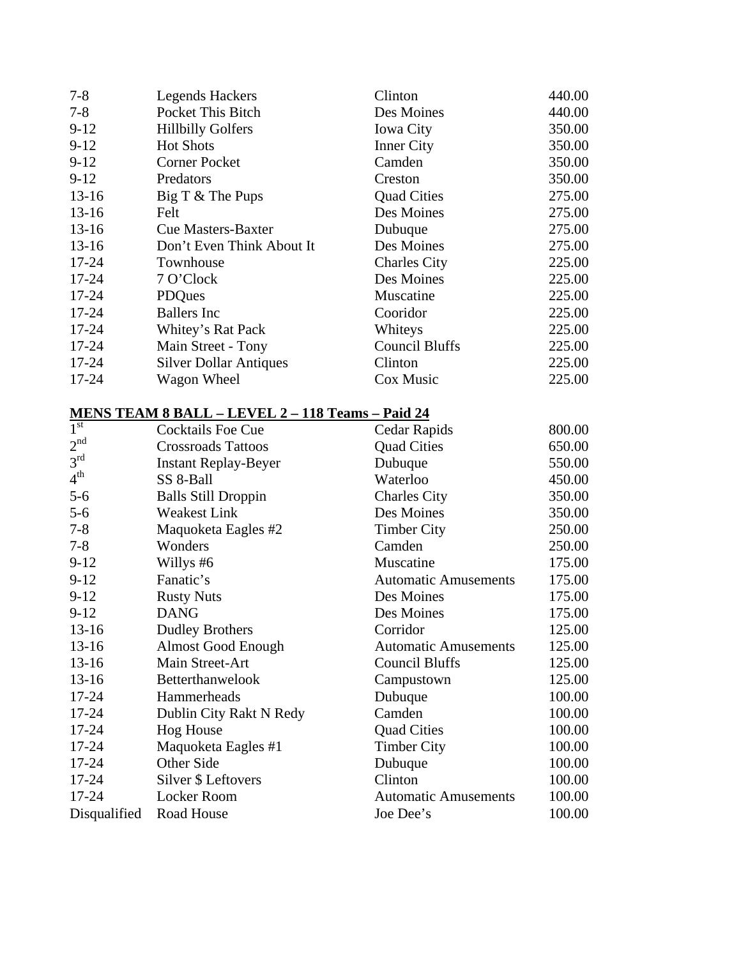| $7 - 8$   | <b>Legends Hackers</b>        | Clinton               | 440.00 |
|-----------|-------------------------------|-----------------------|--------|
| $7 - 8$   | Pocket This Bitch             | Des Moines            | 440.00 |
| $9-12$    | <b>Hillbilly Golfers</b>      | <b>Iowa City</b>      | 350.00 |
| $9-12$    | <b>Hot Shots</b>              | <b>Inner City</b>     | 350.00 |
| $9 - 12$  | <b>Corner Pocket</b>          | Camden                | 350.00 |
| $9-12$    | Predators                     | Creston               | 350.00 |
| $13-16$   | Big T & The Pups              | <b>Quad Cities</b>    | 275.00 |
| $13 - 16$ | Felt                          | Des Moines            | 275.00 |
| $13 - 16$ | <b>Cue Masters-Baxter</b>     | Dubuque               | 275.00 |
| $13 - 16$ | Don't Even Think About It     | Des Moines            | 275.00 |
| $17 - 24$ | Townhouse                     | <b>Charles City</b>   | 225.00 |
| $17 - 24$ | 7 O'Clock                     | Des Moines            | 225.00 |
| $17 - 24$ | <b>PDQues</b>                 | Muscatine             | 225.00 |
| $17 - 24$ | <b>Ballers</b> Inc            | Cooridor              | 225.00 |
| $17 - 24$ | Whitey's Rat Pack             | Whiteys               | 225.00 |
| $17 - 24$ | Main Street - Tony            | <b>Council Bluffs</b> | 225.00 |
| $17 - 24$ | <b>Silver Dollar Antiques</b> | Clinton               | 225.00 |
| 17-24     | Wagon Wheel                   | Cox Music             | 225.00 |
|           |                               |                       |        |

# **MENS TEAM 8 BALL – LEVEL 2 – 118 Teams – Paid 24**

| $\overline{1}^{\text{st}}$ | <b>Cocktails Foe Cue</b>    | Cedar Rapids                | 800.00 |
|----------------------------|-----------------------------|-----------------------------|--------|
| 2 <sup>nd</sup>            | <b>Crossroads Tattoos</b>   | <b>Quad Cities</b>          | 650.00 |
| 3 <sup>rd</sup>            | <b>Instant Replay-Beyer</b> | Dubuque                     | 550.00 |
| 4 <sup>th</sup>            | SS 8-Ball                   | Waterloo                    | 450.00 |
| $5 - 6$                    | <b>Balls Still Droppin</b>  | <b>Charles City</b>         | 350.00 |
| $5 - 6$                    | <b>Weakest Link</b>         | Des Moines                  | 350.00 |
| $7 - 8$                    | Maquoketa Eagles #2         | <b>Timber City</b>          | 250.00 |
| $7 - 8$                    | Wonders                     | Camden                      | 250.00 |
| $9-12$                     | Willys #6                   | Muscatine                   | 175.00 |
| $9-12$                     | Fanatic's                   | <b>Automatic Amusements</b> | 175.00 |
| $9 - 12$                   | <b>Rusty Nuts</b>           | Des Moines                  | 175.00 |
| $9 - 12$                   | <b>DANG</b>                 | Des Moines                  | 175.00 |
| $13-16$                    | <b>Dudley Brothers</b>      | Corridor                    | 125.00 |
| $13-16$                    | <b>Almost Good Enough</b>   | <b>Automatic Amusements</b> | 125.00 |
| $13-16$                    | Main Street-Art             | Council Bluffs              | 125.00 |
| $13-16$                    | Betterthanwelook            | Campustown                  | 125.00 |
| $17 - 24$                  | Hammerheads                 | Dubuque                     | 100.00 |
| 17-24                      | Dublin City Rakt N Redy     | Camden                      | 100.00 |
| $17 - 24$                  | <b>Hog House</b>            | <b>Quad Cities</b>          | 100.00 |
| $17 - 24$                  | Maquoketa Eagles #1         | <b>Timber City</b>          | 100.00 |
| $17 - 24$                  | Other Side                  | Dubuque                     | 100.00 |
| 17-24                      | Silver \$ Leftovers         | Clinton                     | 100.00 |
| 17-24                      | <b>Locker Room</b>          | <b>Automatic Amusements</b> | 100.00 |
| Disqualified               | Road House                  | Joe Dee's                   | 100.00 |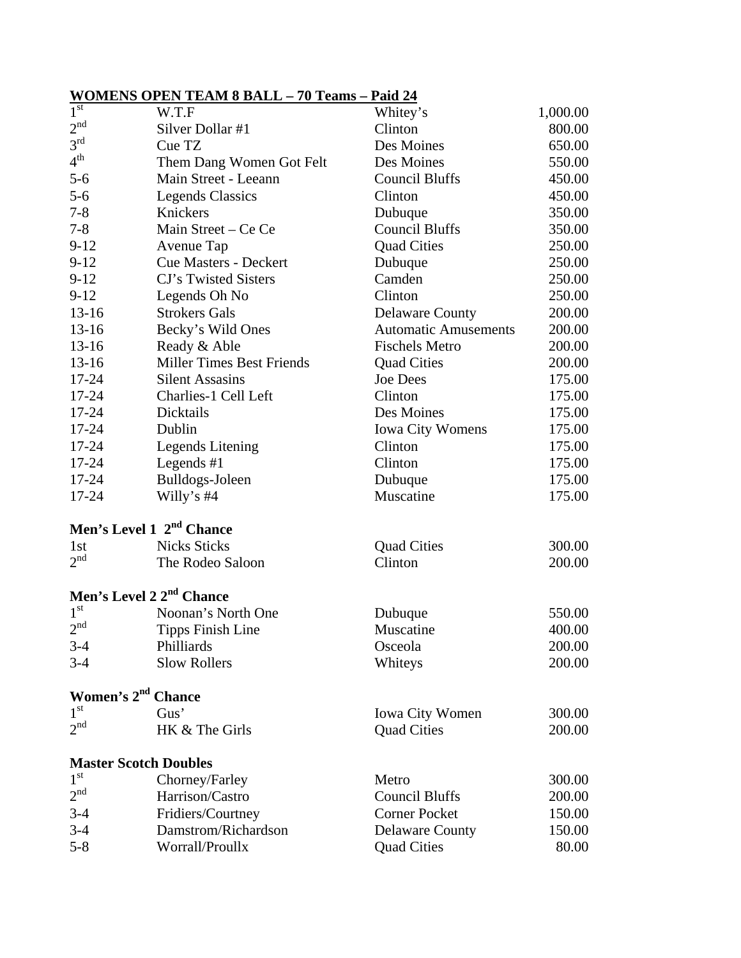# **WOMENS OPEN TEAM 8 BALL – 70 Teams – Paid 24**

| 1 <sup>st</sup>                      | W.T.F                                | Whitey's                    | 1,000.00 |
|--------------------------------------|--------------------------------------|-----------------------------|----------|
| 2 <sup>nd</sup>                      | Silver Dollar #1                     | Clinton                     | 800.00   |
| 3 <sup>rd</sup>                      | Cue TZ                               | Des Moines                  | 650.00   |
| 4 <sup>th</sup>                      | Them Dang Women Got Felt             | Des Moines                  | 550.00   |
| $5 - 6$                              | Main Street - Leeann                 | <b>Council Bluffs</b>       | 450.00   |
| $5 - 6$                              | <b>Legends Classics</b>              | Clinton                     | 450.00   |
| $7 - 8$                              | Knickers                             | Dubuque                     | 350.00   |
| $7 - 8$                              | Main Street – Ce Ce                  | <b>Council Bluffs</b>       | 350.00   |
| $9-12$                               | Avenue Tap                           | <b>Quad Cities</b>          | 250.00   |
| $9 - 12$                             | <b>Cue Masters - Deckert</b>         | Dubuque                     | 250.00   |
| $9-12$                               | CJ's Twisted Sisters                 | Camden                      | 250.00   |
| $9-12$                               | Legends Oh No                        | Clinton                     | 250.00   |
| $13-16$                              | <b>Strokers Gals</b>                 | <b>Delaware County</b>      | 200.00   |
| $13-16$                              | Becky's Wild Ones                    | <b>Automatic Amusements</b> | 200.00   |
| $13-16$                              | Ready & Able                         | <b>Fischels Metro</b>       | 200.00   |
| $13-16$                              | <b>Miller Times Best Friends</b>     | <b>Quad Cities</b>          | 200.00   |
| 17-24                                | <b>Silent Assasins</b>               | <b>Joe Dees</b>             | 175.00   |
| $17 - 24$                            | Charlies-1 Cell Left                 | Clinton                     | 175.00   |
| 17-24                                | Dicktails                            | Des Moines                  | 175.00   |
| 17-24                                | Dublin                               | <b>Iowa City Womens</b>     | 175.00   |
| $17 - 24$                            | <b>Legends Litening</b>              | Clinton                     | 175.00   |
| $17 - 24$                            | Legends $#1$                         | Clinton                     | 175.00   |
| $17 - 24$                            | Bulldogs-Joleen                      | Dubuque                     | 175.00   |
| 17-24                                | Willy's $#4$                         | Muscatine                   | 175.00   |
|                                      | Men's Level 1 2 <sup>nd</sup> Chance |                             |          |
| 1st                                  | <b>Nicks Sticks</b>                  | <b>Quad Cities</b>          | 300.00   |
| 2 <sup>nd</sup>                      | The Rodeo Saloon                     | Clinton                     | 200.00   |
| Men's Level 2 2 <sup>nd</sup> Chance |                                      |                             |          |
| $1^{\rm{st}}$                        | Noonan's North One                   | Dubuque                     | 550.00   |
| 2 <sup>nd</sup>                      | <b>Tipps Finish Line</b>             | Muscatine                   | 400.00   |
| $3-4$                                | Philliards                           | Osceola                     | 200.00   |
| $3 - 4$                              | <b>Slow Rollers</b>                  | Whiteys                     | 200.00   |
| Women's 2 <sup>nd</sup> Chance       |                                      |                             |          |
| 1 <sup>st</sup>                      | Gus'                                 | <b>Iowa City Women</b>      | 300.00   |
| 2 <sup>nd</sup>                      | HK & The Girls                       | <b>Quad Cities</b>          | 200.00   |
| <b>Master Scotch Doubles</b>         |                                      |                             |          |
| 1 <sup>st</sup>                      | Chorney/Farley                       | Metro                       | 300.00   |
| $2^{\rm nd}$                         | Harrison/Castro                      | <b>Council Bluffs</b>       | 200.00   |
| $3-4$                                | Fridiers/Courtney                    | <b>Corner Pocket</b>        | 150.00   |
| $3 - 4$                              | Damstrom/Richardson                  | <b>Delaware County</b>      | 150.00   |
| $5 - 8$                              | Worrall/Proullx                      | <b>Quad Cities</b>          | 80.00    |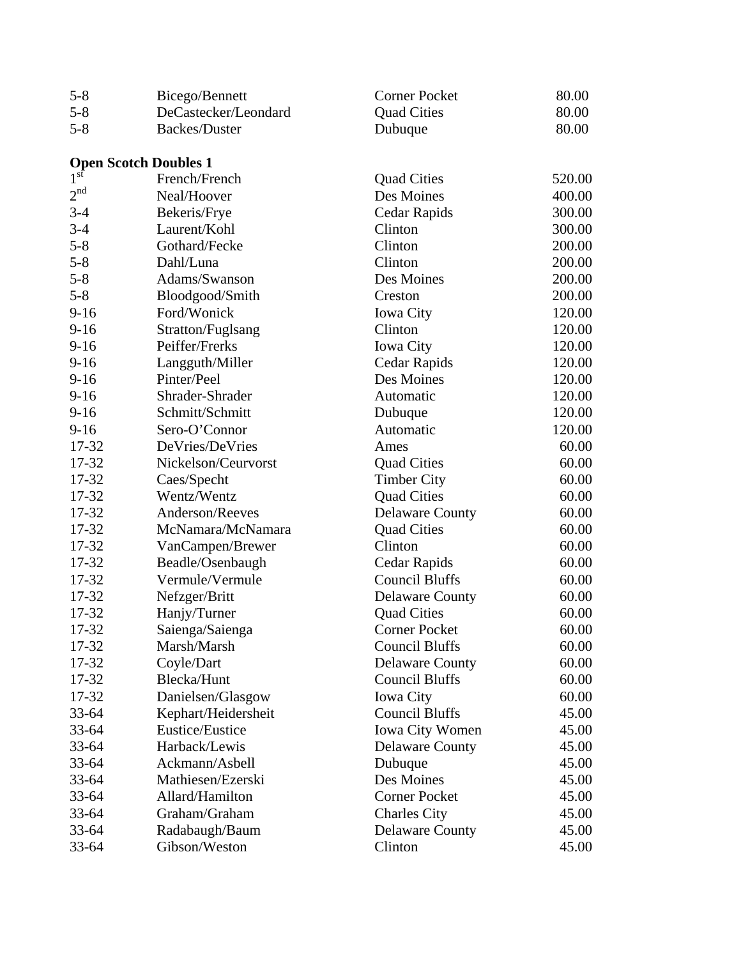| $5 - 8$         | Bicego/Bennett               | <b>Corner Pocket</b>   | 80.00  |
|-----------------|------------------------------|------------------------|--------|
| $5 - 8$         | DeCastecker/Leondard         | <b>Quad Cities</b>     | 80.00  |
| $5 - 8$         | <b>Backes/Duster</b>         | Dubuque                | 80.00  |
|                 |                              |                        |        |
|                 | <b>Open Scotch Doubles 1</b> |                        |        |
| 1 <sup>st</sup> | French/French                | <b>Quad Cities</b>     | 520.00 |
| 2 <sup>nd</sup> | Neal/Hoover                  | Des Moines             | 400.00 |
| $3 - 4$         | Bekeris/Frye                 | Cedar Rapids           | 300.00 |
| $3-4$           | Laurent/Kohl                 | Clinton                | 300.00 |
| $5 - 8$         | Gothard/Fecke                | Clinton                | 200.00 |
| $5 - 8$         | Dahl/Luna                    | Clinton                | 200.00 |
| $5 - 8$         | Adams/Swanson                | Des Moines             | 200.00 |
| $5 - 8$         | Bloodgood/Smith              | Creston                | 200.00 |
| $9-16$          | Ford/Wonick                  | <b>Iowa City</b>       | 120.00 |
| $9-16$          | Stratton/Fuglsang            | Clinton                | 120.00 |
| $9-16$          | Peiffer/Frerks               | <b>Iowa City</b>       | 120.00 |
| $9-16$          | Langguth/Miller              | Cedar Rapids           | 120.00 |
| $9-16$          | Pinter/Peel                  | Des Moines             | 120.00 |
| $9-16$          | Shrader-Shrader              | Automatic              | 120.00 |
| $9-16$          | Schmitt/Schmitt              | Dubuque                | 120.00 |
| $9-16$          | Sero-O'Connor                | Automatic              | 120.00 |
| 17-32           | DeVries/DeVries              | Ames                   | 60.00  |
| 17-32           | Nickelson/Ceurvorst          | <b>Quad Cities</b>     | 60.00  |
| 17-32           | Caes/Specht                  | <b>Timber City</b>     | 60.00  |
| 17-32           | Wentz/Wentz                  | <b>Quad Cities</b>     | 60.00  |
| 17-32           | Anderson/Reeves              | <b>Delaware County</b> | 60.00  |
| 17-32           | McNamara/McNamara            | <b>Quad Cities</b>     | 60.00  |
| 17-32           | VanCampen/Brewer             | Clinton                | 60.00  |
| 17-32           | Beadle/Osenbaugh             | Cedar Rapids           | 60.00  |
| 17-32           | Vermule/Vermule              | <b>Council Bluffs</b>  | 60.00  |
| 17-32           | Nefzger/Britt                | <b>Delaware County</b> | 60.00  |
| 17-32           | Hanjy/Turner                 | <b>Quad Cities</b>     | 60.00  |
| 17-32           | Saienga/Saienga              | <b>Corner Pocket</b>   | 60.00  |
| 17-32           | Marsh/Marsh                  | <b>Council Bluffs</b>  | 60.00  |
| 17-32           | Coyle/Dart                   | <b>Delaware County</b> | 60.00  |
| 17-32           | Blecka/Hunt                  | <b>Council Bluffs</b>  | 60.00  |
| 17-32           | Danielsen/Glasgow            | <b>Iowa City</b>       | 60.00  |
| $33 - 64$       | Kephart/Heidersheit          | <b>Council Bluffs</b>  | 45.00  |
| 33-64           | Eustice/Eustice              | <b>Iowa City Women</b> | 45.00  |
| $33 - 64$       | Harback/Lewis                | <b>Delaware County</b> | 45.00  |
| $33 - 64$       | Ackmann/Asbell               | Dubuque                | 45.00  |
| $33 - 64$       | Mathiesen/Ezerski            | Des Moines             | 45.00  |
| $33 - 64$       | Allard/Hamilton              | <b>Corner Pocket</b>   | 45.00  |
| $33 - 64$       | Graham/Graham                | <b>Charles City</b>    | 45.00  |
| $33 - 64$       | Radabaugh/Baum               | <b>Delaware County</b> | 45.00  |
| 33-64           | Gibson/Weston                | Clinton                | 45.00  |
|                 |                              |                        |        |